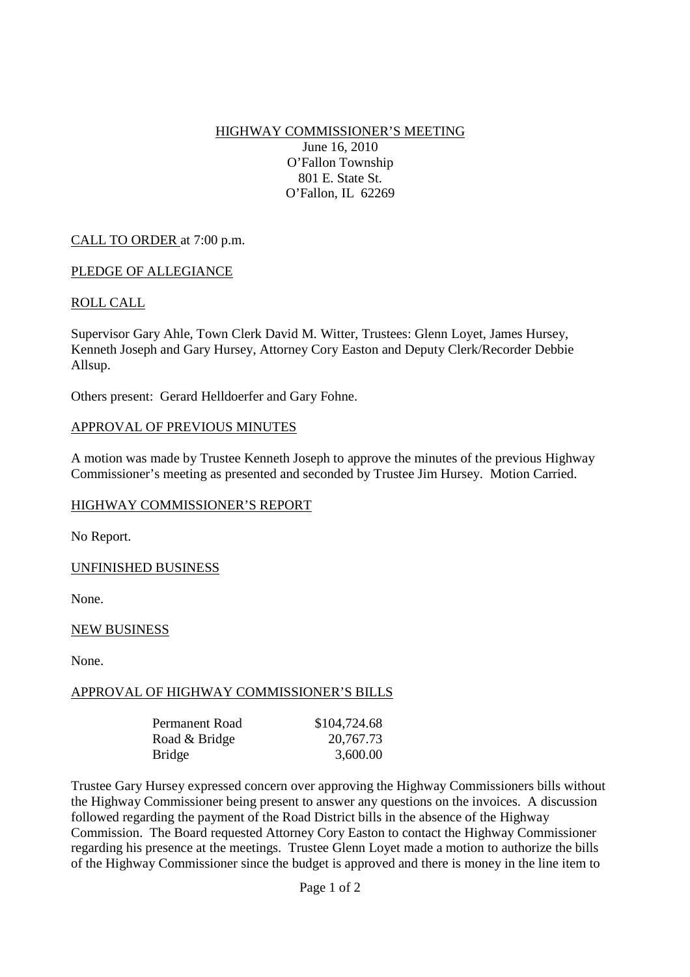HIGHWAY COMMISSIONER'S MEETING June 16, 2010 O'Fallon Township 801 E. State St. O'Fallon, IL 62269

## CALL TO ORDER at 7:00 p.m.

### PLEDGE OF ALLEGIANCE

### ROLL CALL

Supervisor Gary Ahle, Town Clerk David M. Witter, Trustees: Glenn Loyet, James Hursey, Kenneth Joseph and Gary Hursey, Attorney Cory Easton and Deputy Clerk/Recorder Debbie Allsup.

Others present: Gerard Helldoerfer and Gary Fohne.

#### APPROVAL OF PREVIOUS MINUTES

A motion was made by Trustee Kenneth Joseph to approve the minutes of the previous Highway Commissioner's meeting as presented and seconded by Trustee Jim Hursey. Motion Carried.

### HIGHWAY COMMISSIONER'S REPORT

No Report.

### UNFINISHED BUSINESS

None.

### NEW BUSINESS

None.

### APPROVAL OF HIGHWAY COMMISSIONER'S BILLS

| Permanent Road | \$104,724.68 |
|----------------|--------------|
| Road & Bridge  | 20,767.73    |
| <b>Bridge</b>  | 3,600.00     |

Trustee Gary Hursey expressed concern over approving the Highway Commissioners bills without the Highway Commissioner being present to answer any questions on the invoices. A discussion followed regarding the payment of the Road District bills in the absence of the Highway Commission. The Board requested Attorney Cory Easton to contact the Highway Commissioner regarding his presence at the meetings. Trustee Glenn Loyet made a motion to authorize the bills of the Highway Commissioner since the budget is approved and there is money in the line item to